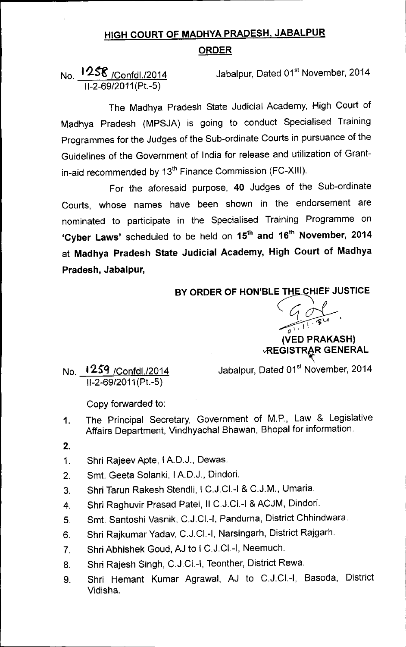## HIGH COURT OF MADHYA PRADESH, JABALPUR ORDER

## No. 1258 / Confdl./2014 11-2-69/2011(Pt.-5)

Jabalpur, Dated 01<sup>st</sup> November, 2014

The Madhya Pradesh State Judicial Academy, High Court of Madhya Pradesh (MPSJA) is going to conduct Specialised Training Programmes for the Judges of the Sub-ordinate Courts in pursuance of the Guidelines of the Government of India for release and utilization of Grantin-aid recommended by 13<sup>th</sup> Finance Commission (FC-XIII).

For the aforesaid purpose, 40 Judges of the Sub-ordinate Courts, whose names have been shown in the endorsement are nominated to participate in the Specialised Training Programme on 'Cyber Laws' scheduled to be held on 15<sup>th</sup> and 16<sup>th</sup> November, 2014 at Madhya Pradesh State Judicial Academy, High Court of Madhya Pradesh, Jabalpur,

BY ORDER OF HON'BLE THE CHIEF JUSTICE

C1 <u>C</u>  $\sqrt{1+1}$ (VED PRAKASH) **REGISTRAR GENERAL** 

No. t 2.S"Q IConfdl./2014 11-2-69/2011(Pt.-5)

Jabalpur, Dated 01<sup>st</sup> November, 2014

Copy forwarded to:

- 1. The Principal Secretary, Government of M.P., Law & Legislative Affairs Department, Vindhyachal Bhawan, Bhopal for information.
- 2.
- 1. Shri Rajeev Apte, I A.D.J., Dewas.
- 2. Smt. Geeta Solanki, IA.D.J., Dindori.
- 3. Shri Tarun Rakesh Stendli, I C.J.CI.-I & C.J.M., Umaria.
- 4. Shri Raghuvir Prasad Patel, II C.J.CI.-I & ACJM, Dindori.
- 5. Smt. Santoshi Vasnik, C.J.CI.-I, Pandurna, District Chhindwara.
- 6. Shri Rajkumar Yadav, C.J.CI.-I, Narsingarh, District Rajgarh.
- 7. Shri Abhishek Goud, AJ to I C.J.CI.-I, Neemuch.
- 8. Shri Rajesh Singh, C.J.CI.-I, Teonther, District Rewa.
- 9. Shri Hemant Kumar Agrawal, AJ to C.J.CI.-I, Basoda, District Vidisha.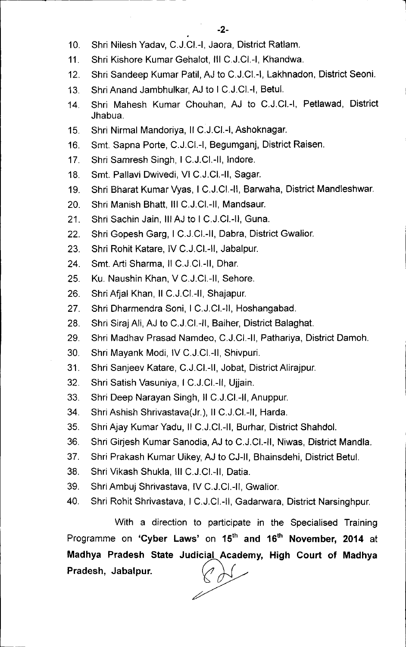- 10. Shri Nilesh Yadav, C.J.CI.-I, Jaora, District Ratlam.
- 11. Shri Kishore Kumar Gehalot, III C.J.CI.-I, Khandwa.
- 12. Shri Sandeep Kumar Patil, AJ to C.J.Cl.-I, Lakhnadon, District Seoni.
- 13. Shri Anand Jambhulkar, AJ to I C.J.CI.-I, Betul.
- 14. Shri Mahesh Kumar Chouhan, AJ to C.J.CI.-I, Petlawad, District Jhabua.
- 15. Shri Nirmal Mandoriya, II C.J.CI.-I,Ashoknagar.
- 16. Smt. Sapna Porte, C.J.CI.-I, Begumganj, District Raisen.
- 17. Shri Samresh Singh, I C.J.CI.-II, Indore.
- 18. Smt. Pallavi Dwivedi, VI C.J.CI.-II, Sagar.
- 19. Shri Bharat Kumar Vyas, I C.J.CI.-II, Barwaha, District Mandleshwar.
- 20. Shri Manish Bhatt, III C.J.CI.-II, Mandsaur.
- 21. Shri Sachin Jain, III AJ to I C.J.CI.-II, Guna.
- 22. Shri Gopesh Garg, I C.J.CI.-II, Dabra, District Gwalior.
- 23. Shri Rohit Katare, IV C.J.CI.-II, Jabalpur.
- 24. Smt. Arti Sharma, II C.J.CI.-II, Dhar.
- 25. Ku. Naushin Khan, V C.J.CI.-II, Sehore.
- 26. Shri Afjal Khan, II C.J.CI.-II, Shajapur.
- 27. Shri Dharmendra Soni, I C.J.CI.-II, Hoshangabad.
- 28. Shri Siraj Ali, AJ to C.J.CI.-II, Baiher, District Balaghat.
- 29. Shri Madhav Prasad Namdeo, C.J.CI.-II, Pathariya, District Damoh.
- 30. Shri Mayank Modi, IV C.J.CI.-II, Shivpuri.
- 31. Shri Sanjeev Katare, C.J.CI.-II, Jobat, District Alirajpur.
- 32. Shri Satish Vasuniya, I C.J.CI.-II, Ujjain.
- 33. Shri Deep Narayan Singh, II C.J.CI.-II,Anuppur.
- 34. Shri Ashish Shrivastava(Jr.), II C.J.CI.-II, Harda.
- 35. Shri Ajay Kumar Yadu, II C.J.CI.-II, Burhar, District Shahdol.
- 36. Shri Girjesh Kumar Sanodia, AJ to C.J.CI.-II, Niwas, District Mandla.
- 37. Shri Prakash Kumar Uikey,AJ to CJ-II, Bhainsdehi, District Betul.
- 38. Shri Vikash Shukla, III C.J.CI.-II, Datia.
- 39. Shri Ambuj Shrivastava, IV C.J.CI.-II, Gwalior.
- 40. Shri Rohit Shrivastava, I C.J.CI.-II, Gadarwara, District Narsinghpur.

With a direction to participate in the Specialised Training Programme on **'Cyber Laws'** on 15th **and 16th November, 2014** at **Madhya Pradesh State Judicial Academy, High Court of Madhya** Pradesh, Jabalpur. ~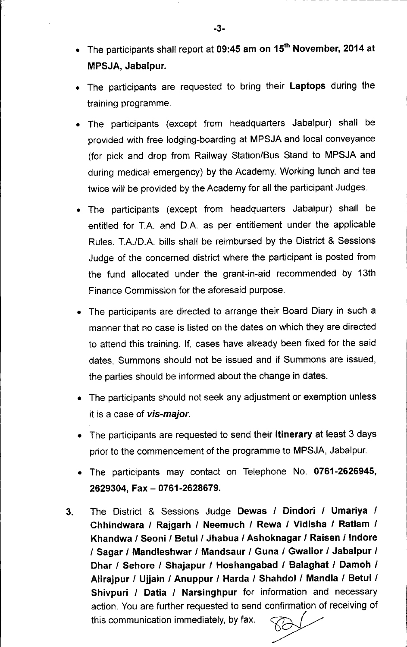- The participants shall report at 09:45 am on 15<sup>th</sup> November, 2014 at MPSJA, Jabalpur.
- The participants are requested to bring their Laptops during the training programme.
- The participants (except from headquarters Jabalpur) shall be provided with free lodging-boarding at MPSJA and local conveyance (for pick and drop from Railway Station/Bus Stand to MPSJA and during medical emergency) by the Academy. Working lunch and tea twice will be provided by the Academy for all the participant Judges.
- The participants (except from headquarters Jabalpur) shall be entitled for T.A. and D.A. as per entitlement under the applicable Rules. T.A./D.A. bills shall be reimbursed by the District & Sessions Judge of the concerned district where the participant is posted from the fund allocated under the grant-in-aid recommended by 13th Finance Commission for the aforesaid purpose.
- The participants are directed to arrange their Board Diary in such a manner that no case is listed on the dates on which they are directed to attend this training. If, cases have already been fixed for the said dates, Summons should not be issued and if Summons are issued, the parties should be informed about the change in dates.
- The participants should not seek any adjustment or exemption unless it is a case of *vis-major.*
- The participants are requested to send their **Itinerary** at least 3 days prior to the commencement of the programme to MPSJA, Jabalpur.
- The participants may contact on Telephone No. 0761-2626945, 2629304, Fax - 0761-2628679.
- 3. The District & Sessions Judge Dewas *I* Dindori *I* Umariya / Chhindwara / Rajgarh *I* Neemuch *I* Rewa *I* Vidisha *I* Ratlam / Khandwa *I* Seoni *I* Betul/ Jhabua *I* Ashoknagar *I* Raisen *I* Indore *I* Sagar *I* Mandleshwar / Mandsaur / Guna *I* Gwalior *I* Jabalpur *I* Dhar / Sehore *I* Shajapur / Hoshangabad / Balaghat *I* Damoh *I* Alirajpur / Ujjain *I* Anuppur *I* Harda / Shahdol *I* Mandla / Betul / Shivpuri *I* Datia *I* Narsinghpur for information and necessary action. You are further requested to send confirmation of receiving of this communication immediately, by fax.